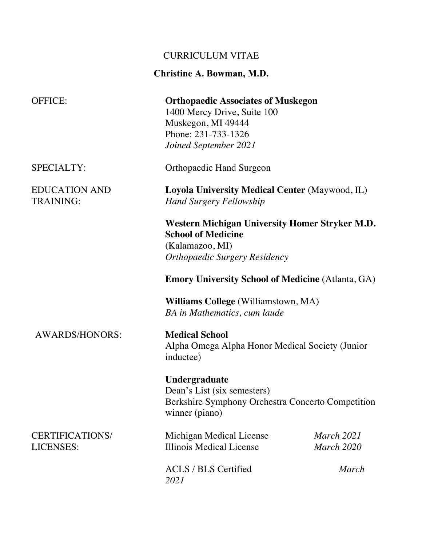## CURRICULUM VITAE

## **Christine A. Bowman, M.D.**

| <b>OFFICE:</b>                             | <b>Orthopaedic Associates of Muskegon</b><br>1400 Mercy Drive, Suite 100<br>Muskegon, MI 49444<br>Phone: 231-733-1326<br><b>Joined September 2021</b> |                          |
|--------------------------------------------|-------------------------------------------------------------------------------------------------------------------------------------------------------|--------------------------|
| SPECIALTY:                                 | <b>Orthopaedic Hand Surgeon</b>                                                                                                                       |                          |
| <b>EDUCATION AND</b><br><b>TRAINING:</b>   | <b>Loyola University Medical Center (Maywood, IL)</b><br><b>Hand Surgery Fellowship</b>                                                               |                          |
|                                            | Western Michigan University Homer Stryker M.D.<br><b>School of Medicine</b><br>(Kalamazoo, MI)<br><b>Orthopaedic Surgery Residency</b>                |                          |
|                                            | <b>Emory University School of Medicine (Atlanta, GA)</b>                                                                                              |                          |
|                                            | <b>Williams College</b> (Williamstown, MA)<br>BA in Mathematics, cum laude                                                                            |                          |
| <b>AWARDS/HONORS:</b>                      | <b>Medical School</b><br>Alpha Omega Alpha Honor Medical Society (Junior<br>inductee)                                                                 |                          |
|                                            | Undergraduate<br>Dean's List (six semesters)<br>Berkshire Symphony Orchestra Concerto Competition<br>winner (piano)                                   |                          |
| <b>CERTIFICATIONS/</b><br><b>LICENSES:</b> | Michigan Medical License<br>Illinois Medical License                                                                                                  | March 2021<br>March 2020 |
|                                            | <b>ACLS / BLS Certified</b><br>2021                                                                                                                   | <b>March</b>             |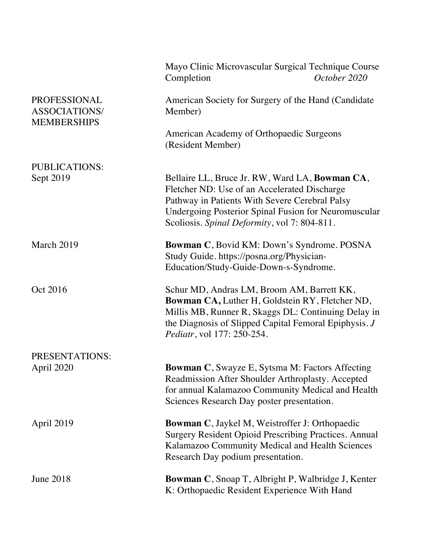|                                                            | Mayo Clinic Microvascular Surgical Technique Course<br>Completion                                                                                                                                                                                               | October 2020 |
|------------------------------------------------------------|-----------------------------------------------------------------------------------------------------------------------------------------------------------------------------------------------------------------------------------------------------------------|--------------|
| PROFESSIONAL<br><b>ASSOCIATIONS/</b><br><b>MEMBERSHIPS</b> | American Society for Surgery of the Hand (Candidate)<br>Member)                                                                                                                                                                                                 |              |
|                                                            | American Academy of Orthopaedic Surgeons<br>(Resident Member)                                                                                                                                                                                                   |              |
| <b>PUBLICATIONS:</b>                                       |                                                                                                                                                                                                                                                                 |              |
| Sept 2019                                                  | Bellaire LL, Bruce Jr. RW, Ward LA, Bowman CA,<br>Fletcher ND: Use of an Accelerated Discharge<br>Pathway in Patients With Severe Cerebral Palsy<br><b>Undergoing Posterior Spinal Fusion for Neuromuscular</b><br>Scoliosis. Spinal Deformity, vol 7: 804-811. |              |
| March 2019                                                 | <b>Bowman C, Bovid KM: Down's Syndrome. POSNA</b><br>Study Guide. https://posna.org/Physician-<br>Education/Study-Guide-Down-s-Syndrome.                                                                                                                        |              |
| Oct 2016                                                   | Schur MD, Andras LM, Broom AM, Barrett KK,<br><b>Bowman CA, Luther H, Goldstein RY, Fletcher ND,</b><br>Millis MB, Runner R, Skaggs DL: Continuing Delay in<br>the Diagnosis of Slipped Capital Femoral Epiphysis. J<br><i>Pediatr, vol</i> 177: 250-254.       |              |
| PRESENTATIONS:                                             |                                                                                                                                                                                                                                                                 |              |
| April 2020                                                 | <b>Bowman C, Swayze E, Sytsma M: Factors Affecting</b><br>Readmission After Shoulder Arthroplasty. Accepted<br>for annual Kalamazoo Community Medical and Health<br>Sciences Research Day poster presentation.                                                  |              |
| April 2019                                                 | <b>Bowman C</b> , Jaykel M, Weistroffer J: Orthopaedic<br><b>Surgery Resident Opioid Prescribing Practices. Annual</b><br>Kalamazoo Community Medical and Health Sciences<br>Research Day podium presentation.                                                  |              |
| June 2018                                                  | <b>Bowman C, Snoap T, Albright P, Walbridge J, Kenter</b><br>K: Orthopaedic Resident Experience With Hand                                                                                                                                                       |              |